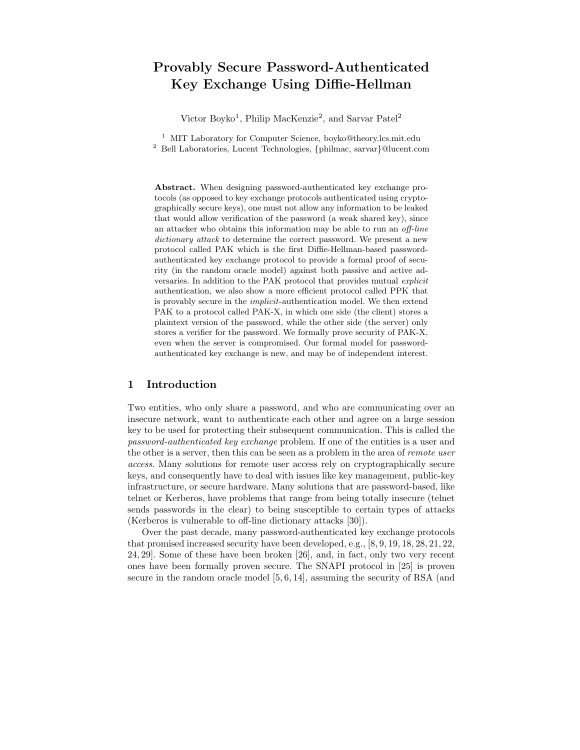# Provably Secure Password-Authenticated Key Exchange Using Diffie-Hellman

Victor Boyko<sup>1</sup>, Philip MacKenzie<sup>2</sup>, and Sarvar Patel<sup>2</sup>

<sup>1</sup> MIT Laboratory for Computer Science, boyko@theory.lcs.mit.edu <sup>2</sup> Bell Laboratories, Lucent Technologies, {philmac, sarvar}@lucent.com

Abstract. When designing password-authenticated key exchange protocols (as opposed to key exchange protocols authenticated using cryptographically secure keys), one must not allow any information to be leaked that would allow verification of the password (a weak shared key), since an attacker who obtains this information may be able to run an off-line dictionary attack to determine the correct password. We present a new protocol called PAK which is the first Diffie-Hellman-based passwordauthenticated key exchange protocol to provide a formal proof of security (in the random oracle model) against both passive and active adversaries. In addition to the PAK protocol that provides mutual explicit authentication, we also show a more efficient protocol called PPK that is provably secure in the implicit-authentication model. We then extend PAK to a protocol called PAK-X, in which one side (the client) stores a plaintext version of the password, while the other side (the server) only stores a verifier for the password. We formally prove security of PAK-X, even when the server is compromised. Our formal model for passwordauthenticated key exchange is new, and may be of independent interest.

## 1 Introduction

Two entities, who only share a password, and who are communicating over an insecure network, want to authenticate each other and agree on a large session key to be used for protecting their subsequent communication. This is called the password-authenticated key exchange problem. If one of the entities is a user and the other is a server, then this can be seen as a problem in the area of remote user access. Many solutions for remote user access rely on cryptographically secure keys, and consequently have to deal with issues like key management, public-key infrastructure, or secure hardware. Many solutions that are password-based, like telnet or Kerberos, have problems that range from being totally insecure (telnet sends passwords in the clear) to being susceptible to certain types of attacks (Kerberos is vulnerable to off-line dictionary attacks [30]).

Over the past decade, many password-authenticated key exchange protocols that promised increased security have been developed, e.g., [8, 9, 19, 18, 28, 21, 22, 24, 29]. Some of these have been broken [26], and, in fact, only two very recent ones have been formally proven secure. The SNAPI protocol in [25] is proven secure in the random oracle model [5, 6, 14], assuming the security of RSA (and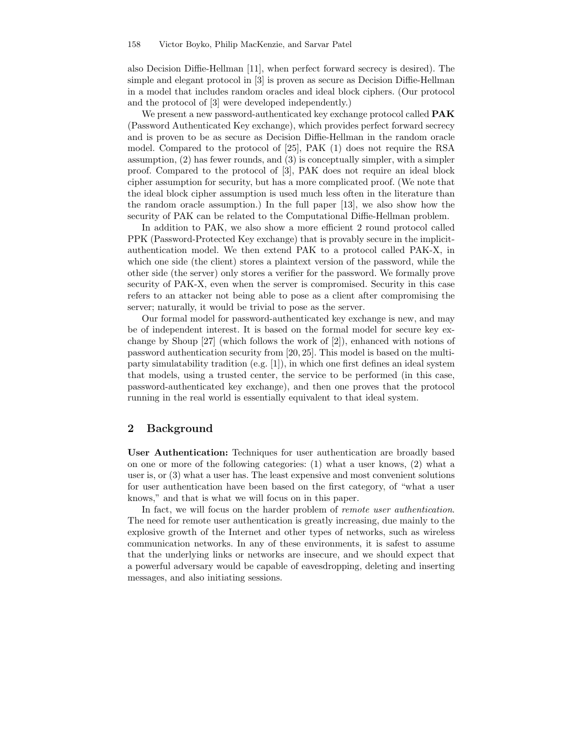also Decision Diffie-Hellman [11], when perfect forward secrecy is desired). The simple and elegant protocol in [3] is proven as secure as Decision Diffie-Hellman in a model that includes random oracles and ideal block ciphers. (Our protocol and the protocol of [3] were developed independently.)

We present a new password-authenticated key exchange protocol called **PAK** (Password Authenticated Key exchange), which provides perfect forward secrecy and is proven to be as secure as Decision Diffie-Hellman in the random oracle model. Compared to the protocol of [25], PAK (1) does not require the RSA assumption, (2) has fewer rounds, and (3) is conceptually simpler, with a simpler proof. Compared to the protocol of [3], PAK does not require an ideal block cipher assumption for security, but has a more complicated proof. (We note that the ideal block cipher assumption is used much less often in the literature than the random oracle assumption.) In the full paper [13], we also show how the security of PAK can be related to the Computational Diffie-Hellman problem.

In addition to PAK, we also show a more efficient 2 round protocol called PPK (Password-Protected Key exchange) that is provably secure in the implicitauthentication model. We then extend PAK to a protocol called PAK-X, in which one side (the client) stores a plaintext version of the password, while the other side (the server) only stores a verifier for the password. We formally prove security of PAK-X, even when the server is compromised. Security in this case refers to an attacker not being able to pose as a client after compromising the server; naturally, it would be trivial to pose as the server.

Our formal model for password-authenticated key exchange is new, and may be of independent interest. It is based on the formal model for secure key exchange by Shoup  $[27]$  (which follows the work of  $[2]$ ), enhanced with notions of password authentication security from [20, 25]. This model is based on the multiparty simulatability tradition (e.g. [1]), in which one first defines an ideal system that models, using a trusted center, the service to be performed (in this case, password-authenticated key exchange), and then one proves that the protocol running in the real world is essentially equivalent to that ideal system.

## 2 Background

User Authentication: Techniques for user authentication are broadly based on one or more of the following categories: (1) what a user knows, (2) what a user is, or (3) what a user has. The least expensive and most convenient solutions for user authentication have been based on the first category, of "what a user knows," and that is what we will focus on in this paper.

In fact, we will focus on the harder problem of *remote user authentication*. The need for remote user authentication is greatly increasing, due mainly to the explosive growth of the Internet and other types of networks, such as wireless communication networks. In any of these environments, it is safest to assume that the underlying links or networks are insecure, and we should expect that a powerful adversary would be capable of eavesdropping, deleting and inserting messages, and also initiating sessions.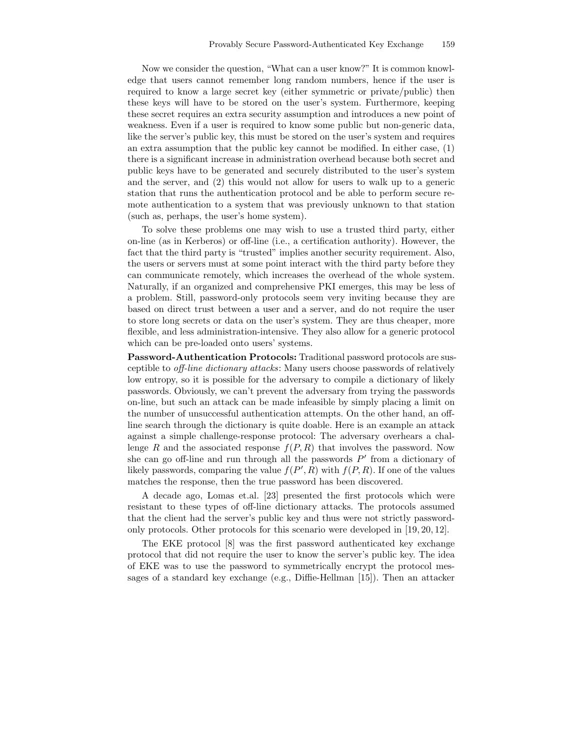Now we consider the question, "What can a user know?" It is common knowledge that users cannot remember long random numbers, hence if the user is required to know a large secret key (either symmetric or private/public) then these keys will have to be stored on the user's system. Furthermore, keeping these secret requires an extra security assumption and introduces a new point of weakness. Even if a user is required to know some public but non-generic data, like the server's public key, this must be stored on the user's system and requires an extra assumption that the public key cannot be modified. In either case, (1) there is a significant increase in administration overhead because both secret and public keys have to be generated and securely distributed to the user's system and the server, and (2) this would not allow for users to walk up to a generic station that runs the authentication protocol and be able to perform secure remote authentication to a system that was previously unknown to that station (such as, perhaps, the user's home system).

To solve these problems one may wish to use a trusted third party, either on-line (as in Kerberos) or off-line (i.e., a certification authority). However, the fact that the third party is "trusted" implies another security requirement. Also, the users or servers must at some point interact with the third party before they can communicate remotely, which increases the overhead of the whole system. Naturally, if an organized and comprehensive PKI emerges, this may be less of a problem. Still, password-only protocols seem very inviting because they are based on direct trust between a user and a server, and do not require the user to store long secrets or data on the user's system. They are thus cheaper, more flexible, and less administration-intensive. They also allow for a generic protocol which can be pre-loaded onto users' systems.

Password-Authentication Protocols: Traditional password protocols are susceptible to off-line dictionary attacks: Many users choose passwords of relatively low entropy, so it is possible for the adversary to compile a dictionary of likely passwords. Obviously, we can't prevent the adversary from trying the passwords on-line, but such an attack can be made infeasible by simply placing a limit on the number of unsuccessful authentication attempts. On the other hand, an offline search through the dictionary is quite doable. Here is an example an attack against a simple challenge-response protocol: The adversary overhears a challenge R and the associated response  $f(P, R)$  that involves the password. Now she can go off-line and run through all the passwords  $P'$  from a dictionary of likely passwords, comparing the value  $f(P', R)$  with  $f(P, R)$ . If one of the values matches the response, then the true password has been discovered.

A decade ago, Lomas et.al. [23] presented the first protocols which were resistant to these types of off-line dictionary attacks. The protocols assumed that the client had the server's public key and thus were not strictly passwordonly protocols. Other protocols for this scenario were developed in [19, 20, 12].

The EKE protocol [8] was the first password authenticated key exchange protocol that did not require the user to know the server's public key. The idea of EKE was to use the password to symmetrically encrypt the protocol messages of a standard key exchange (e.g., Diffie-Hellman [15]). Then an attacker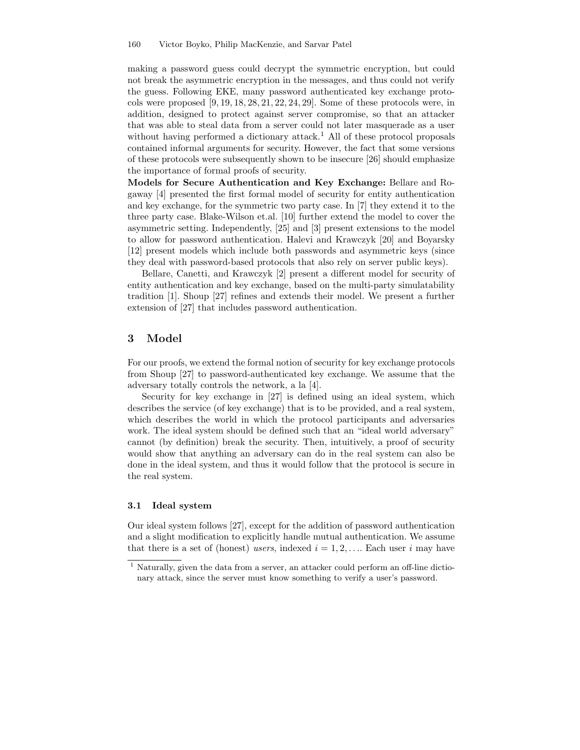making a password guess could decrypt the symmetric encryption, but could not break the asymmetric encryption in the messages, and thus could not verify the guess. Following EKE, many password authenticated key exchange protocols were proposed [9, 19, 18, 28, 21, 22, 24, 29]. Some of these protocols were, in addition, designed to protect against server compromise, so that an attacker that was able to steal data from a server could not later masquerade as a user without having performed a dictionary attack.<sup>1</sup> All of these protocol proposals contained informal arguments for security. However, the fact that some versions of these protocols were subsequently shown to be insecure [26] should emphasize the importance of formal proofs of security.

Models for Secure Authentication and Key Exchange: Bellare and Rogaway [4] presented the first formal model of security for entity authentication and key exchange, for the symmetric two party case. In [7] they extend it to the three party case. Blake-Wilson et.al. [10] further extend the model to cover the asymmetric setting. Independently, [25] and [3] present extensions to the model to allow for password authentication. Halevi and Krawczyk [20] and Boyarsky [12] present models which include both passwords and asymmetric keys (since they deal with password-based protocols that also rely on server public keys).

Bellare, Canetti, and Krawczyk [2] present a different model for security of entity authentication and key exchange, based on the multi-party simulatability tradition [1]. Shoup [27] refines and extends their model. We present a further extension of [27] that includes password authentication.

## 3 Model

For our proofs, we extend the formal notion of security for key exchange protocols from Shoup [27] to password-authenticated key exchange. We assume that the adversary totally controls the network, a la [4].

Security for key exchange in [27] is defined using an ideal system, which describes the service (of key exchange) that is to be provided, and a real system, which describes the world in which the protocol participants and adversaries work. The ideal system should be defined such that an "ideal world adversary" cannot (by definition) break the security. Then, intuitively, a proof of security would show that anything an adversary can do in the real system can also be done in the ideal system, and thus it would follow that the protocol is secure in the real system.

## 3.1 Ideal system

Our ideal system follows [27], except for the addition of password authentication and a slight modification to explicitly handle mutual authentication. We assume that there is a set of (honest) users, indexed  $i = 1, 2, \ldots$  Each user i may have

 $^{\rm 1}$  Naturally, given the data from a server, an attacker could perform an off-line dictionary attack, since the server must know something to verify a user's password.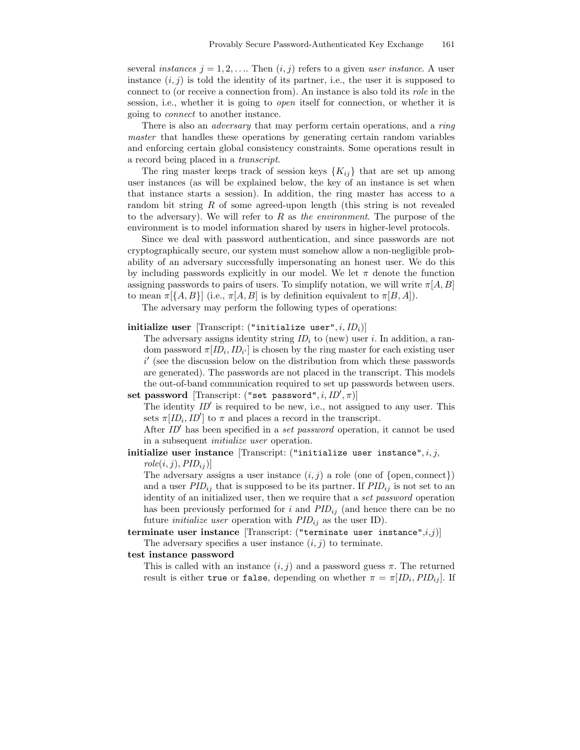several instances  $j = 1, 2, \ldots$  Then  $(i, j)$  refers to a given user instance. A user instance  $(i, j)$  is told the identity of its partner, i.e., the user it is supposed to connect to (or receive a connection from). An instance is also told its role in the session, i.e., whether it is going to open itself for connection, or whether it is going to connect to another instance.

There is also an *adversary* that may perform certain operations, and a *ring* master that handles these operations by generating certain random variables and enforcing certain global consistency constraints. Some operations result in a record being placed in a transcript.

The ring master keeps track of session keys  $\{K_{ij}\}\)$  that are set up among user instances (as will be explained below, the key of an instance is set when that instance starts a session). In addition, the ring master has access to a random bit string R of some agreed-upon length (this string is not revealed to the adversary). We will refer to R as the environment. The purpose of the environment is to model information shared by users in higher-level protocols.

Since we deal with password authentication, and since passwords are not cryptographically secure, our system must somehow allow a non-negligible probability of an adversary successfully impersonating an honest user. We do this by including passwords explicitly in our model. We let  $\pi$  denote the function assigning passwords to pairs of users. To simplify notation, we will write  $\pi[A, B]$ to mean  $\pi[\{A, B\}]$  (i.e.,  $\pi[A, B]$  is by definition equivalent to  $\pi[B, A]$ ).

The adversary may perform the following types of operations:

#### initialize user [Transcript: ("initialize user",  $i$ ,  $ID_i$ )]

The adversary assigns identity string  $ID_i$  to (new) user i. In addition, a random password  $\pi[ID_i, ID_{i'}]$  is chosen by the ring master for each existing user i' (see the discussion below on the distribution from which these passwords are generated). The passwords are not placed in the transcript. This models the out-of-band communication required to set up passwords between users.  ${\bf set~ password~[Transcript:~("set~password", i, ID', \pi)]}$ 

The identity  $ID'$  is required to be new, i.e., not assigned to any user. This sets  $\pi [ID_i, ID']$  to  $\pi$  and places a record in the transcript.

After  $ID'$  has been specified in a set password operation, it cannot be used in a subsequent initialize user operation.

## initialize user instance [Transcript: ("initialize user instance",  $i, j$ ,

 $role(i, j), PID_{ij}$ 

The adversary assigns a user instance  $(i, j)$  a role (one of {open, connect}) and a user  $PID_{ij}$  that is supposed to be its partner. If  $PID_{ij}$  is not set to an identity of an initialized user, then we require that a set password operation has been previously performed for i and  $PID_{ij}$  (and hence there can be no future *initialize user* operation with  $PID_{ij}$  as the user ID).

terminate user instance [Transcript: ("terminate user instance", $i,j$ ]] The adversary specifies a user instance  $(i, j)$  to terminate.

#### test instance password

This is called with an instance  $(i, j)$  and a password guess  $\pi$ . The returned result is either true or false, depending on whether  $\pi = \pi [ID_i, PID_{ij}]$ . If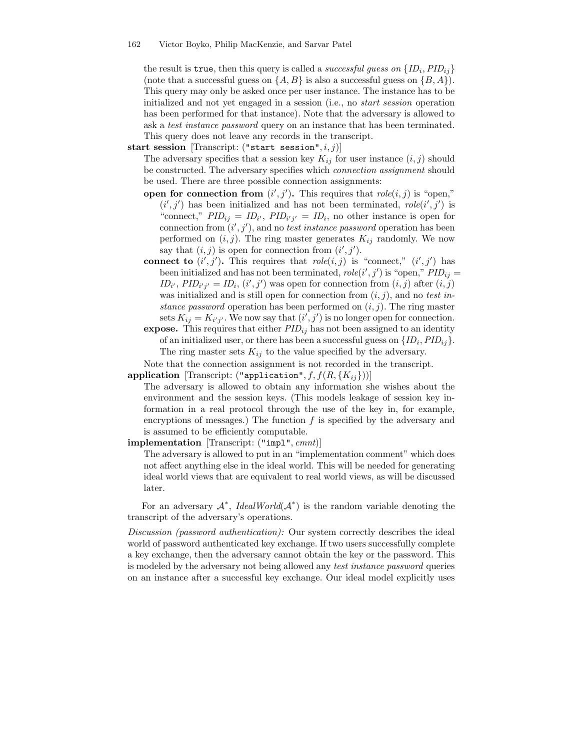the result is true, then this query is called a *successful guess on*  $\{ID_i, PID_{ij}\}$ (note that a successful guess on  $\{A, B\}$  is also a successful guess on  $\{B, A\}$ ). This query may only be asked once per user instance. The instance has to be initialized and not yet engaged in a session (i.e., no start session operation has been performed for that instance). Note that the adversary is allowed to ask a test instance password query on an instance that has been terminated. This query does not leave any records in the transcript.

start session [Transcript: ("start session", $i, j$ )]

The adversary specifies that a session key  $K_{ij}$  for user instance  $(i, j)$  should be constructed. The adversary specifies which connection assignment should be used. There are three possible connection assignments:

- open for connection from  $(i', j')$ . This requires that  $role(i, j)$  is "open,"  $(i', j')$  has been initialized and has not been terminated,  $role(i', j')$  is "connect,"  $PID_{ij} = ID_{i'}$ ,  $PID_{i'j'} = ID_{i}$ , no other instance is open for connection from  $(i', j')$ , and no test instance password operation has been performed on  $(i, j)$ . The ring master generates  $K_{ij}$  randomly. We now say that  $(i, j)$  is open for connection from  $(i', j')$ .
- connect to  $(i', j')$ . This requires that  $role(i, j)$  is "connect,"  $(i', j')$  has been initialized and has not been terminated,  $role(i', j')$  is "open,"  $PID_{ij} =$  $ID_{i'}, PID_{i'j'} = ID_i, (i', j')$  was open for connection from  $(i, j)$  after  $(i, j)$ was initialized and is still open for connection from  $(i, j)$ , and no test instance password operation has been performed on  $(i, j)$ . The ring master sets  $K_{ij} = K_{i'j'}$ . We now say that  $(i', j')$  is no longer open for connection.
- expose. This requires that either  $PID_{ij}$  has not been assigned to an identity of an initialized user, or there has been a successful guess on  $\{ID_i, PID_{ij}\}.$ The ring master sets  $K_{ij}$  to the value specified by the adversary.

Note that the connection assignment is not recorded in the transcript.

application [Transcript: ("application",  $f, f(R, {K_{ij}}))$ ]

The adversary is allowed to obtain any information she wishes about the environment and the session keys. (This models leakage of session key information in a real protocol through the use of the key in, for example, encryptions of messages.) The function  $f$  is specified by the adversary and is assumed to be efficiently computable.

implementation [Transcript: ("impl", cmnt)]

The adversary is allowed to put in an "implementation comment" which does not affect anything else in the ideal world. This will be needed for generating ideal world views that are equivalent to real world views, as will be discussed later.

For an adversary  $\mathcal{A}^*$ , IdealWorld $(\mathcal{A}^*)$  is the random variable denoting the transcript of the adversary's operations.

Discussion (password authentication): Our system correctly describes the ideal world of password authenticated key exchange. If two users successfully complete a key exchange, then the adversary cannot obtain the key or the password. This is modeled by the adversary not being allowed any test instance password queries on an instance after a successful key exchange. Our ideal model explicitly uses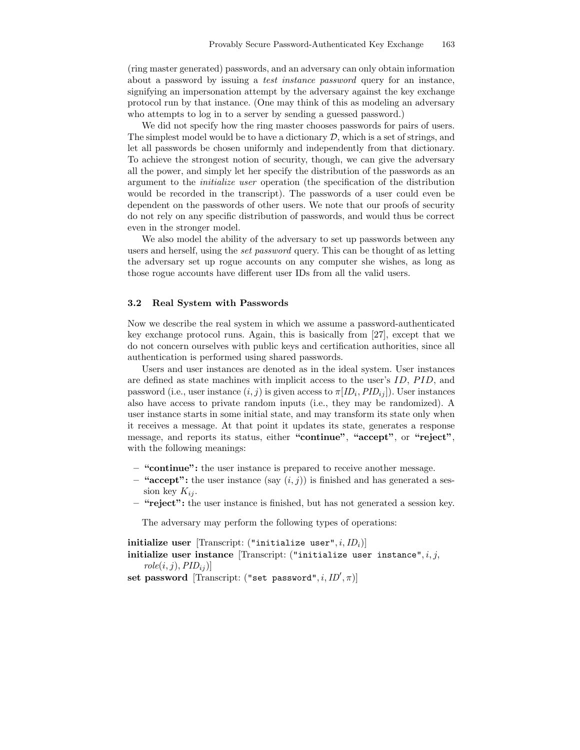(ring master generated) passwords, and an adversary can only obtain information about a password by issuing a test instance password query for an instance, signifying an impersonation attempt by the adversary against the key exchange protocol run by that instance. (One may think of this as modeling an adversary who attempts to log in to a server by sending a guessed password.)

We did not specify how the ring master chooses passwords for pairs of users. The simplest model would be to have a dictionary  $\mathcal{D}$ , which is a set of strings, and let all passwords be chosen uniformly and independently from that dictionary. To achieve the strongest notion of security, though, we can give the adversary all the power, and simply let her specify the distribution of the passwords as an argument to the initialize user operation (the specification of the distribution would be recorded in the transcript). The passwords of a user could even be dependent on the passwords of other users. We note that our proofs of security do not rely on any specific distribution of passwords, and would thus be correct even in the stronger model.

We also model the ability of the adversary to set up passwords between any users and herself, using the set password query. This can be thought of as letting the adversary set up rogue accounts on any computer she wishes, as long as those rogue accounts have different user IDs from all the valid users.

### 3.2 Real System with Passwords

Now we describe the real system in which we assume a password-authenticated key exchange protocol runs. Again, this is basically from [27], except that we do not concern ourselves with public keys and certification authorities, since all authentication is performed using shared passwords.

Users and user instances are denoted as in the ideal system. User instances are defined as state machines with implicit access to the user's ID, PID, and password (i.e., user instance  $(i, j)$  is given access to  $\pi [ID_i, PID_{ij}]$ ). User instances also have access to private random inputs (i.e., they may be randomized). A user instance starts in some initial state, and may transform its state only when it receives a message. At that point it updates its state, generates a response message, and reports its status, either "continue", "accept", or "reject", with the following meanings:

- "continue": the user instance is prepared to receive another message.
- "accept": the user instance (say  $(i, j)$ ) is finished and has generated a session key  $K_{ii}$ .
- "reject": the user instance is finished, but has not generated a session key.

The adversary may perform the following types of operations:

initialize user [Transcript: ("initialize user",  $i$ ,  $ID_i$ )] initialize user instance [Transcript: ("initialize user instance",i, j,  $role(i, j), PID_{ij})$ ]

set password [Transcript: ("set password",  $i, \mathit{ID}', \pi)$ ]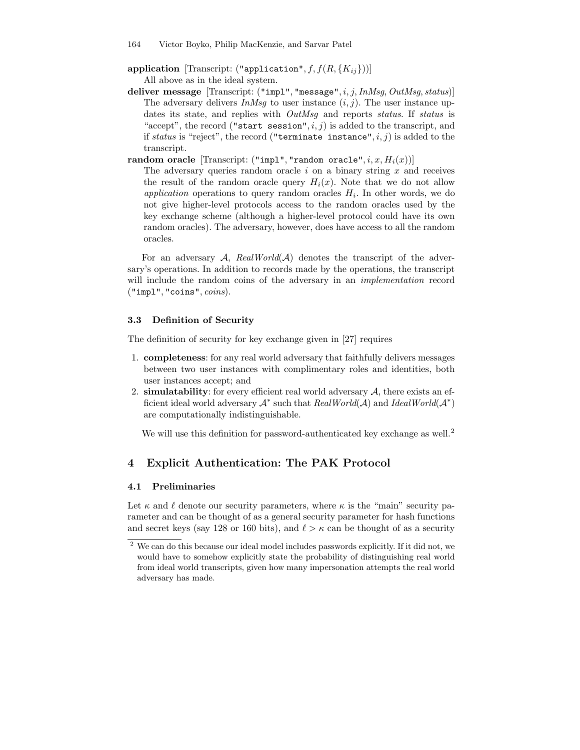- application [Transcript: ("application",  $f, f(R, \{K_{ij}\})$ ]] All above as in the ideal system.
- deliver message  $[Transcript: ("impl", "message", i, j, InMsg, OutMsg, status)]$ The adversary delivers  $ImMsg$  to user instance  $(i, j)$ . The user instance updates its state, and replies with *OutMsg* and reports *status*. If *status* is "accept", the record ("start session",  $i, j$ ) is added to the transcript, and if status is "reject", the record ("terminate instance",  $i$ ,  $j$ ) is added to the transcript.
- random oracle [Transcript: ("impl", "random oracle",  $i, x, H_i(x)$ )] The adversary queries random oracle  $i$  on a binary string  $x$  and receives the result of the random oracle query  $H_i(x)$ . Note that we do not allow application operations to query random oracles  $H_i$ . In other words, we do not give higher-level protocols access to the random oracles used by the key exchange scheme (although a higher-level protocol could have its own random oracles). The adversary, however, does have access to all the random oracles.

For an adversary  $A$ , RealWorld $(A)$  denotes the transcript of the adversary's operations. In addition to records made by the operations, the transcript will include the random coins of the adversary in an *implementation* record  $("impl", "coins", coins).$ 

#### 3.3 Definition of Security

The definition of security for key exchange given in [27] requires

- 1. completeness: for any real world adversary that faithfully delivers messages between two user instances with complimentary roles and identities, both user instances accept; and
- 2. simulatability: for every efficient real world adversary  $A$ , there exists an efficient ideal world adversary  $\mathcal{A}^*$  such that  $\text{RealWorld}(\mathcal{A})$  and  $\text{IdealWorld}(\mathcal{A}^*)$ are computationally indistinguishable.

We will use this definition for password-authenticated key exchange as well.<sup>2</sup>

## 4 Explicit Authentication: The PAK Protocol

#### 4.1 Preliminaries

Let  $\kappa$  and  $\ell$  denote our security parameters, where  $\kappa$  is the "main" security parameter and can be thought of as a general security parameter for hash functions and secret keys (say 128 or 160 bits), and  $\ell > \kappa$  can be thought of as a security

 $^{\rm 2}$  We can do this because our ideal model includes passwords explicitly. If it did not, we would have to somehow explicitly state the probability of distinguishing real world from ideal world transcripts, given how many impersonation attempts the real world adversary has made.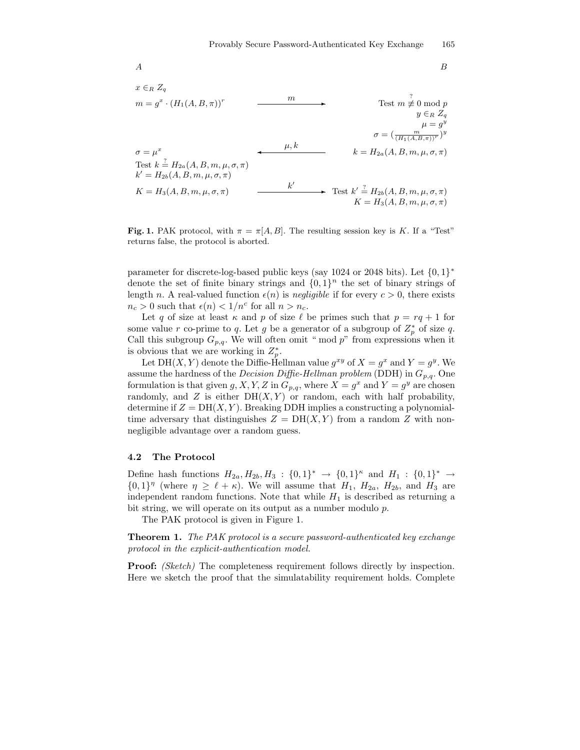A  
\n
$$
x \in_R Z_q
$$
\n
$$
m = g^x \cdot (H_1(A, B, \pi))^r
$$
\n
$$
m \longrightarrow
$$
\n
$$
m \longrightarrow
$$
\n
$$
y \in_R Z_q
$$
\n
$$
\mu = g^y
$$
\n
$$
\sigma = (\frac{m}{(H_1(A, B, \pi))^r})^y
$$
\n
$$
k = H_{2a}(A, B, m, \mu, \sigma, \pi)
$$
\n
$$
k' = H_{2b}(A, B, m, \mu, \sigma, \pi)
$$
\n
$$
K = H_3(A, B, m, \mu, \sigma, \pi)
$$
\n
$$
K = H_3(A, B, m, \mu, \sigma, \pi)
$$
\n
$$
K = H_3(A, B, m, \mu, \sigma, \pi)
$$

Fig. 1. PAK protocol, with  $\pi = \pi[A, B]$ . The resulting session key is K. If a "Test" returns false, the protocol is aborted.

parameter for discrete-log-based public keys (say 1024 or 2048 bits). Let  $\{0,1\}^*$ denote the set of finite binary strings and  $\{0,1\}^n$  the set of binary strings of length n. A real-valued function  $\epsilon(n)$  is negligible if for every  $c > 0$ , there exists  $n_c > 0$  such that  $\epsilon(n) < 1/n^c$  for all  $n > n_c$ .

Let q of size at least  $\kappa$  and p of size  $\ell$  be primes such that  $p = rq + 1$  for some value r co-prime to q. Let g be a generator of a subgroup of  $Z_p^*$  of size q. Call this subgroup  $G_{p,q}$ . We will often omit " mod p" from expressions when it is obvious that we are working in  $Z_p^*$ .

Let  $DH(X, Y)$  denote the Diffie-Hellman value  $g^{xy}$  of  $X = g^x$  and  $Y = g^y$ . We assume the hardness of the *Decision Diffie-Hellman problem* (DDH) in  $G_{p,q}$ . One formulation is that given  $g, X, Y, Z$  in  $G_{p,q}$ , where  $X = g^x$  and  $Y = g^y$  are chosen randomly, and Z is either  $DH(X, Y)$  or random, each with half probability, determine if  $Z = DH(X, Y)$ . Breaking DDH implies a constructing a polynomialtime adversary that distinguishes  $Z = DH(X, Y)$  from a random Z with nonnegligible advantage over a random guess.

#### 4.2 The Protocol

Define hash functions  $H_{2a}$ ,  $H_{2b}$ ,  $H_3$ :  $\{0,1\}^*$   $\rightarrow$   $\{0,1\}^*$  and  $H_1$ :  $\{0,1\}^*$   $\rightarrow$  $\{0,1\}^{\eta}$  (where  $\eta \geq \ell + \kappa$ ). We will assume that  $H_1$ ,  $H_{2a}$ ,  $H_{2b}$ , and  $H_3$  are independent random functions. Note that while  $H_1$  is described as returning a bit string, we will operate on its output as a number modulo p.

The PAK protocol is given in Figure 1.

**Theorem 1.** The PAK protocol is a secure password-authenticated key exchange protocol in the explicit-authentication model.

**Proof:** (Sketch) The completeness requirement follows directly by inspection. Here we sketch the proof that the simulatability requirement holds. Complete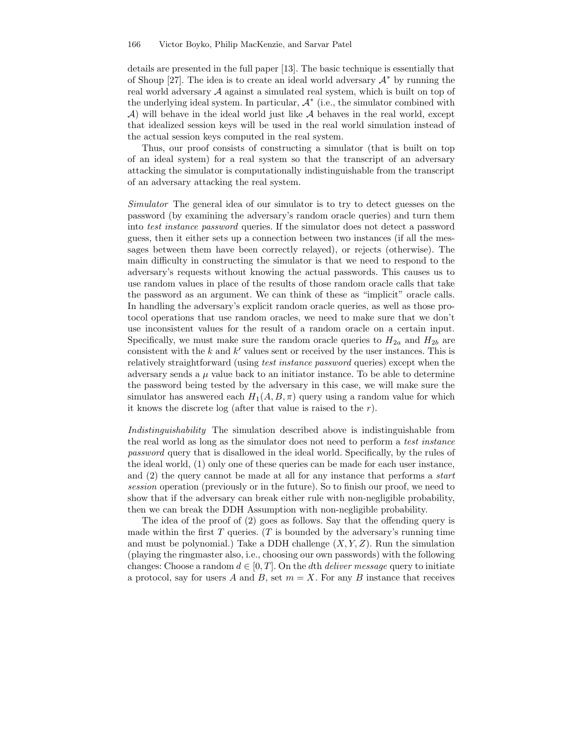details are presented in the full paper [13]. The basic technique is essentially that of Shoup [27]. The idea is to create an ideal world adversary  $\mathcal{A}^*$  by running the real world adversary A against a simulated real system, which is built on top of the underlying ideal system. In particular,  $A^*$  (i.e., the simulator combined with  $\mathcal{A}$ ) will behave in the ideal world just like  $\mathcal A$  behaves in the real world, except that idealized session keys will be used in the real world simulation instead of the actual session keys computed in the real system.

Thus, our proof consists of constructing a simulator (that is built on top of an ideal system) for a real system so that the transcript of an adversary attacking the simulator is computationally indistinguishable from the transcript of an adversary attacking the real system.

Simulator The general idea of our simulator is to try to detect guesses on the password (by examining the adversary's random oracle queries) and turn them into test instance password queries. If the simulator does not detect a password guess, then it either sets up a connection between two instances (if all the messages between them have been correctly relayed), or rejects (otherwise). The main difficulty in constructing the simulator is that we need to respond to the adversary's requests without knowing the actual passwords. This causes us to use random values in place of the results of those random oracle calls that take the password as an argument. We can think of these as "implicit" oracle calls. In handling the adversary's explicit random oracle queries, as well as those protocol operations that use random oracles, we need to make sure that we don't use inconsistent values for the result of a random oracle on a certain input. Specifically, we must make sure the random oracle queries to  $H_{2a}$  and  $H_{2b}$  are consistent with the  $k$  and  $k'$  values sent or received by the user instances. This is relatively straightforward (using test instance password queries) except when the adversary sends a  $\mu$  value back to an initiator instance. To be able to determine the password being tested by the adversary in this case, we will make sure the simulator has answered each  $H_1(A, B, \pi)$  query using a random value for which it knows the discrete log (after that value is raised to the r).

Indistinguishability The simulation described above is indistinguishable from the real world as long as the simulator does not need to perform a test instance password query that is disallowed in the ideal world. Specifically, by the rules of the ideal world, (1) only one of these queries can be made for each user instance, and (2) the query cannot be made at all for any instance that performs a start session operation (previously or in the future). So to finish our proof, we need to show that if the adversary can break either rule with non-negligible probability, then we can break the DDH Assumption with non-negligible probability.

The idea of the proof of (2) goes as follows. Say that the offending query is made within the first  $T$  queries.  $(T$  is bounded by the adversary's running time and must be polynomial.) Take a DDH challenge  $(X, Y, Z)$ . Run the simulation (playing the ringmaster also, i.e., choosing our own passwords) with the following changes: Choose a random  $d \in [0, T]$ . On the dth deliver message query to initiate a protocol, say for users A and B, set  $m = X$ . For any B instance that receives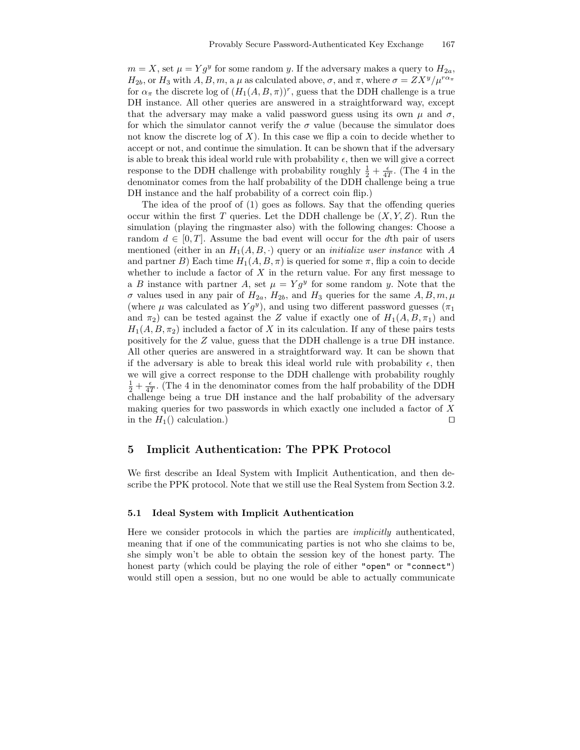$m = X$ , set  $\mu = Yg^y$  for some random y. If the adversary makes a query to  $H_{2a}$ ,  $H_{2b}$ , or  $H_3$  with  $A, B, m$ , a  $\mu$  as calculated above,  $\sigma$ , and  $\pi$ , where  $\sigma = ZX^y/\mu^{r\alpha_{\pi}}$ for  $\alpha_{\pi}$  the discrete log of  $(H_1(A, B, \pi))^r$ , guess that the DDH challenge is a true DH instance. All other queries are answered in a straightforward way, except that the adversary may make a valid password guess using its own  $\mu$  and  $\sigma$ , for which the simulator cannot verify the  $\sigma$  value (because the simulator does not know the discrete log of  $X$ ). In this case we flip a coin to decide whether to accept or not, and continue the simulation. It can be shown that if the adversary is able to break this ideal world rule with probability  $\epsilon$ , then we will give a correct response to the DDH challenge with probability roughly  $\frac{1}{2} + \frac{\epsilon}{4T}$ . (The 4 in the denominator comes from the half probability of the DDH challenge being a true DH instance and the half probability of a correct coin flip.)

The idea of the proof of (1) goes as follows. Say that the offending queries occur within the first  $T$  queries. Let the DDH challenge be  $(X, Y, Z)$ . Run the simulation (playing the ringmaster also) with the following changes: Choose a random  $d \in [0, T]$ . Assume the bad event will occur for the dth pair of users mentioned (either in an  $H_1(A, B, \cdot)$  query or an *initialize user instance* with A and partner B) Each time  $H_1(A, B, \pi)$  is queried for some  $\pi$ , flip a coin to decide whether to include a factor of  $X$  in the return value. For any first message to a B instance with partner A, set  $\mu = Yg^y$  for some random y. Note that the  $\sigma$  values used in any pair of  $H_{2a}$ ,  $H_{2b}$ , and  $H_3$  queries for the same  $A, B, m, \mu$ (where  $\mu$  was calculated as  $Yg^y$ ), and using two different password guesses ( $\pi_1$ ) and  $\pi_2$ ) can be tested against the Z value if exactly one of  $H_1(A, B, \pi_1)$  and  $H_1(A, B, \pi_2)$  included a factor of X in its calculation. If any of these pairs tests positively for the Z value, guess that the DDH challenge is a true DH instance. All other queries are answered in a straightforward way. It can be shown that if the adversary is able to break this ideal world rule with probability  $\epsilon$ , then we will give a correct response to the DDH challenge with probability roughly  $\frac{1}{2} + \frac{\epsilon}{4T}$ . (The 4 in the denominator comes from the half probability of the DDH challenge being a true DH instance and the half probability of the adversary making queries for two passwords in which exactly one included a factor of  $X$ in the  $H_1$ () calculation.)

## 5 Implicit Authentication: The PPK Protocol

We first describe an Ideal System with Implicit Authentication, and then describe the PPK protocol. Note that we still use the Real System from Section 3.2.

#### 5.1 Ideal System with Implicit Authentication

Here we consider protocols in which the parties are implicitly authenticated, meaning that if one of the communicating parties is not who she claims to be, she simply won't be able to obtain the session key of the honest party. The honest party (which could be playing the role of either "open" or "connect") would still open a session, but no one would be able to actually communicate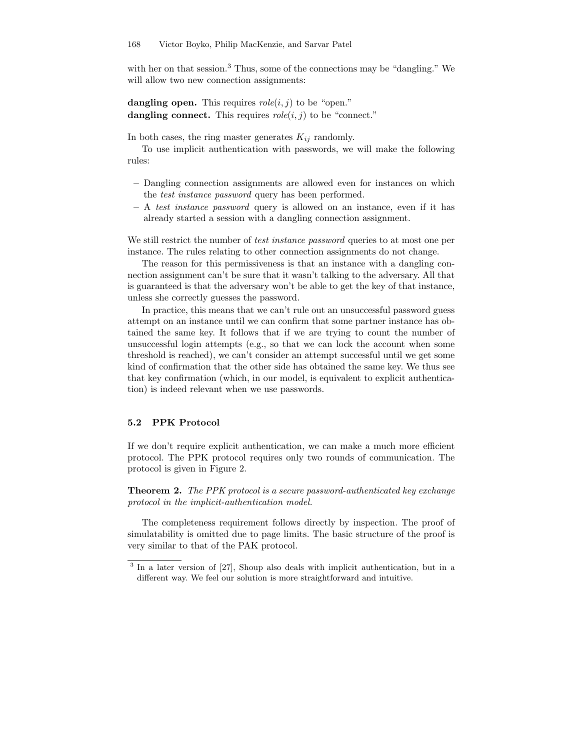with her on that session.<sup>3</sup> Thus, some of the connections may be "dangling." We will allow two new connection assignments:

dangling open. This requires  $role(i, j)$  to be "open." dangling connect. This requires  $role(i, j)$  to be "connect."

In both cases, the ring master generates  $K_{ij}$  randomly.

To use implicit authentication with passwords, we will make the following rules:

- Dangling connection assignments are allowed even for instances on which the test instance password query has been performed.
- $A$  test instance password query is allowed on an instance, even if it has already started a session with a dangling connection assignment.

We still restrict the number of *test instance password* queries to at most one per instance. The rules relating to other connection assignments do not change.

The reason for this permissiveness is that an instance with a dangling connection assignment can't be sure that it wasn't talking to the adversary. All that is guaranteed is that the adversary won't be able to get the key of that instance, unless she correctly guesses the password.

In practice, this means that we can't rule out an unsuccessful password guess attempt on an instance until we can confirm that some partner instance has obtained the same key. It follows that if we are trying to count the number of unsuccessful login attempts (e.g., so that we can lock the account when some threshold is reached), we can't consider an attempt successful until we get some kind of confirmation that the other side has obtained the same key. We thus see that key confirmation (which, in our model, is equivalent to explicit authentication) is indeed relevant when we use passwords.

### 5.2 PPK Protocol

If we don't require explicit authentication, we can make a much more efficient protocol. The PPK protocol requires only two rounds of communication. The protocol is given in Figure 2.

**Theorem 2.** The PPK protocol is a secure password-authenticated key exchange protocol in the implicit-authentication model.

The completeness requirement follows directly by inspection. The proof of simulatability is omitted due to page limits. The basic structure of the proof is very similar to that of the PAK protocol.

<sup>&</sup>lt;sup>3</sup> In a later version of [27], Shoup also deals with implicit authentication, but in a different way. We feel our solution is more straightforward and intuitive.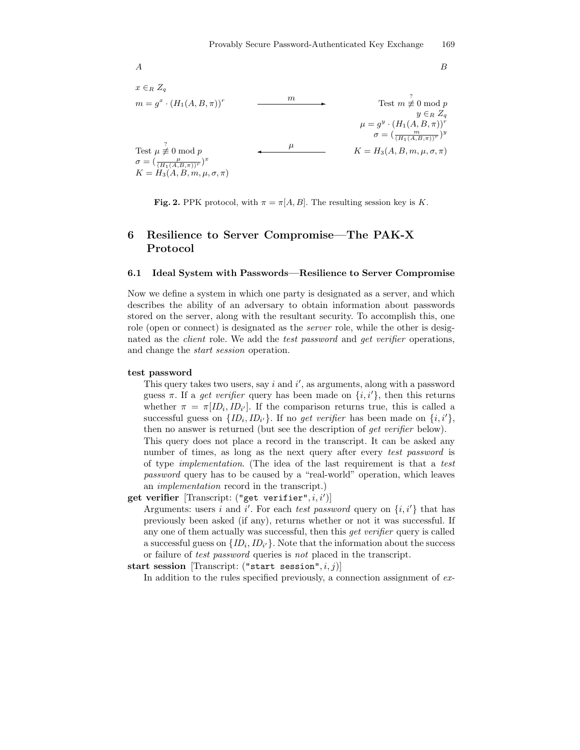A  
\n
$$
x \in_R Z_q
$$
\n
$$
m = g^x \cdot (H_1(A, B, \pi))^r
$$
\n
$$
u = g^y \cdot (H_1(A, B, \pi))^r
$$
\n
$$
u = g^y \cdot (H_1(A, B, \pi))^r
$$
\n
$$
\sigma = (\frac{n}{(H_1(A, B, \pi))^r})^y
$$
\n
$$
K = H_3(A, B, m, \mu, \sigma, \pi)
$$
\nB  
\n
$$
\mu = g^y \cdot (H_1(A, B, \pi))^r
$$
\n
$$
\sigma = (\frac{n}{(H_1(A, B, \pi))^r})^y
$$
\n
$$
K = H_3(A, B, m, \mu, \sigma, \pi)
$$

Fig. 2. PPK protocol, with  $\pi = \pi[A, B]$ . The resulting session key is K.

## 6 Resilience to Server Compromise—The PAK-X Protocol

#### 6.1 Ideal System with Passwords—Resilience to Server Compromise

Now we define a system in which one party is designated as a server, and which describes the ability of an adversary to obtain information about passwords stored on the server, along with the resultant security. To accomplish this, one role (open or connect) is designated as the server role, while the other is designated as the *client* role. We add the *test password* and *get verifier* operations, and change the start session operation.

#### test password

This query takes two users, say  $i$  and  $i'$ , as arguments, along with a password guess  $\pi$ . If a *get verifier* query has been made on  $\{i, i'\}$ , then this returns whether  $\pi = \pi [ID_i, ID_{i'}]$ . If the comparison returns true, this is called a successful guess on  $\{ID_i, ID_{i'}\}$ . If no *get verifier* has been made on  $\{i, i'\}$ , then no answer is returned (but see the description of get verifier below). This query does not place a record in the transcript. It can be asked any number of times, as long as the next query after every *test password* is of type implementation. (The idea of the last requirement is that a test password query has to be caused by a "real-world" operation, which leaves an implementation record in the transcript.)

get verifier [Transcript: ("get verifier",  $i$ ,  $i')$ ]

Arguments: users i and i'. For each test password query on  $\{i, i'\}$  that has previously been asked (if any), returns whether or not it was successful. If any one of them actually was successful, then this get verifier query is called a successful guess on  $\{ID_i, ID_{i'}\}$ . Note that the information about the success or failure of test password queries is not placed in the transcript.

start session [Transcript: ("start session", $i, j$ ]]

In addition to the rules specified previously, a connection assignment of  $ex$ -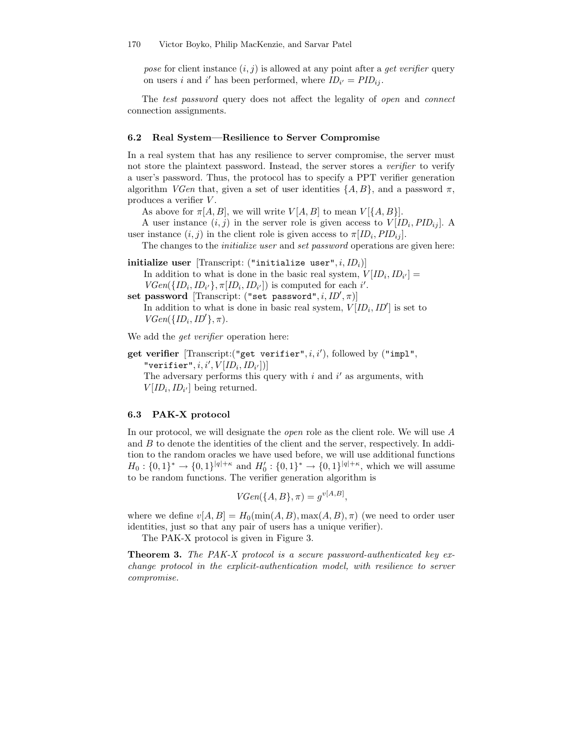pose for client instance  $(i, j)$  is allowed at any point after a *get verifier* query on users *i* and *i'* has been performed, where  $ID_{i'} = PID_{ij}$ .

The test password query does not affect the legality of open and connect connection assignments.

#### 6.2 Real System—Resilience to Server Compromise

In a real system that has any resilience to server compromise, the server must not store the plaintext password. Instead, the server stores a *verifier* to verify a user's password. Thus, the protocol has to specify a PPT verifier generation algorithm *VGen* that, given a set of user identities  $\{A, B\}$ , and a password  $\pi$ , produces a verifier  $V$ .

As above for  $\pi[A, B]$ , we will write  $V[A, B]$  to mean  $V[\{A, B\}].$ 

A user instance  $(i, j)$  in the server role is given access to  $V[ID_i, PID_{ij}]$ . A user instance  $(i, j)$  in the client role is given access to  $\pi [ID_i, PID_{ij}]$ .

The changes to the *initialize user* and *set password* operations are given here:

- initialize user [Transcript: ("initialize user",  $i$ ,  $ID_i$ )] In addition to what is done in the basic real system,  $V[ID_i, ID_{i'}] =$  $VGen({ID<sub>i</sub>, ID<sub>i'</sub>}, \pi[ID<sub>i</sub>, ID<sub>i'</sub>])$  is computed for each i'.
- set password [Transcript: ("set password",  $i$ ,  $ID', \pi$ )] In addition to what is done in basic real system,  $V[ID_i, ID']$  is set to  $VGen({ID_i, ID'}, \pi)$ .

We add the *get verifier* operation here:

get verifier [Transcript:("get verifier", $i$ , $i'$ ), followed by ("impl", "verifier",  $i, i', V[ID_i, ID_{i'}])$ ] The adversary performs this query with  $i$  and  $i'$  as arguments, with  $V[*ID*<sub>i</sub>, *ID*<sub>i'</sub>] being returned.$ 

#### 6.3 PAK-X protocol

In our protocol, we will designate the open role as the client role. We will use A and B to denote the identities of the client and the server, respectively. In addition to the random oracles we have used before, we will use additional functions  $H_0: \{0,1\}^* \to \{0,1\}^{|q|+\kappa}$  and  $H'_0: \{0,1\}^* \to \{0,1\}^{|q|+\kappa}$ , which we will assume to be random functions. The verifier generation algorithm is

$$
VGen(\{A, B\}, \pi) = g^{v[A, B]},
$$

where we define  $v[A, B] = H_0(\min(A, B), \max(A, B), \pi)$  (we need to order user identities, just so that any pair of users has a unique verifier).

The PAK-X protocol is given in Figure 3.

Theorem 3. The PAK-X protocol is a secure password-authenticated key exchange protocol in the explicit-authentication model, with resilience to server compromise.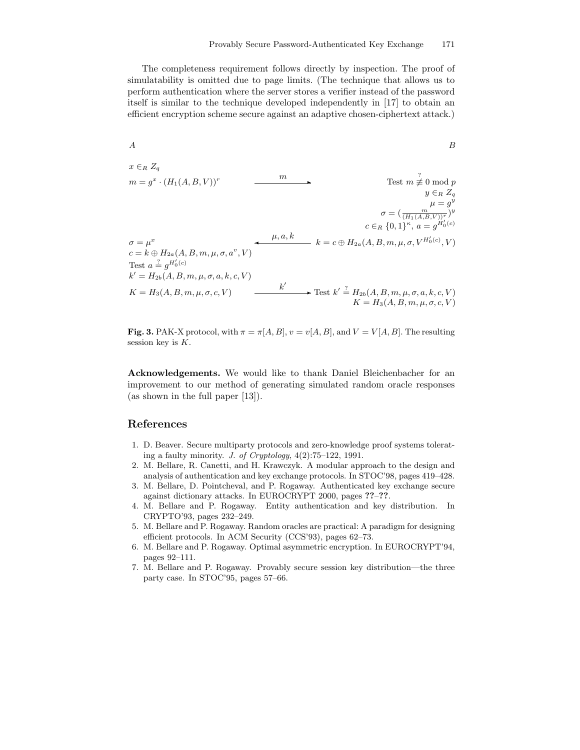The completeness requirement follows directly by inspection. The proof of simulatability is omitted due to page limits. (The technique that allows us to perform authentication where the server stores a verifier instead of the password itself is similar to the technique developed independently in [17] to obtain an efficient encryption scheme secure against an adaptive chosen-ciphertext attack.)

$$
A \hspace{6.7cm} B
$$

$$
x \in_R Z_q
$$
  
\n
$$
m = g^x \cdot (H_1(A, B, V))^r
$$
  
\n
$$
m \longrightarrow
$$
  
\n
$$
m \longrightarrow
$$
  
\n
$$
x \in_R Z_q
$$
  
\n
$$
y \in_R Z_q
$$
  
\n
$$
\sigma = (\frac{m}{(H_1(A, B, V))^r})^y
$$
  
\n
$$
c \in_R \{0, 1\}^{\kappa}, a = g^{H_0'(c)}
$$
  
\n
$$
c = k \oplus H_{2a}(A, B, m, \mu, \sigma, a^v, V)
$$
  
\nTest  $a = g^{H_0'(c)}$   
\n $k' = H_{2b}(A, B, m, \mu, \sigma, a, k, c, V)$   
\n
$$
K = H_3(A, B, m, \mu, \sigma, c, V)
$$
  
\n
$$
K = H_3(A, B, m, \mu, \sigma, c, V)
$$
  
\n
$$
K = H_3(A, B, m, \mu, \sigma, c, V)
$$

Fig. 3. PAK-X protocol, with  $\pi = \pi[A, B], v = v[A, B]$ , and  $V = V[A, B]$ . The resulting session key is  $K$ .

Acknowledgements. We would like to thank Daniel Bleichenbacher for an improvement to our method of generating simulated random oracle responses (as shown in the full paper [13]).

## References

- 1. D. Beaver. Secure multiparty protocols and zero-knowledge proof systems tolerating a faulty minority. J. of Cryptology,  $4(2)$ :75–122, 1991.
- 2. M. Bellare, R. Canetti, and H. Krawczyk. A modular approach to the design and analysis of authentication and key exchange protocols. In STOC'98, pages 419–428.
- 3. M. Bellare, D. Pointcheval, and P. Rogaway. Authenticated key exchange secure against dictionary attacks. In EUROCRYPT 2000, pages ??–??.
- 4. M. Bellare and P. Rogaway. Entity authentication and key distribution. In CRYPTO'93, pages 232–249.
- 5. M. Bellare and P. Rogaway. Random oracles are practical: A paradigm for designing efficient protocols. In ACM Security (CCS'93), pages 62–73.
- 6. M. Bellare and P. Rogaway. Optimal asymmetric encryption. In EUROCRYPT'94, pages 92–111.
- 7. M. Bellare and P. Rogaway. Provably secure session key distribution—the three party case. In STOC'95, pages 57–66.